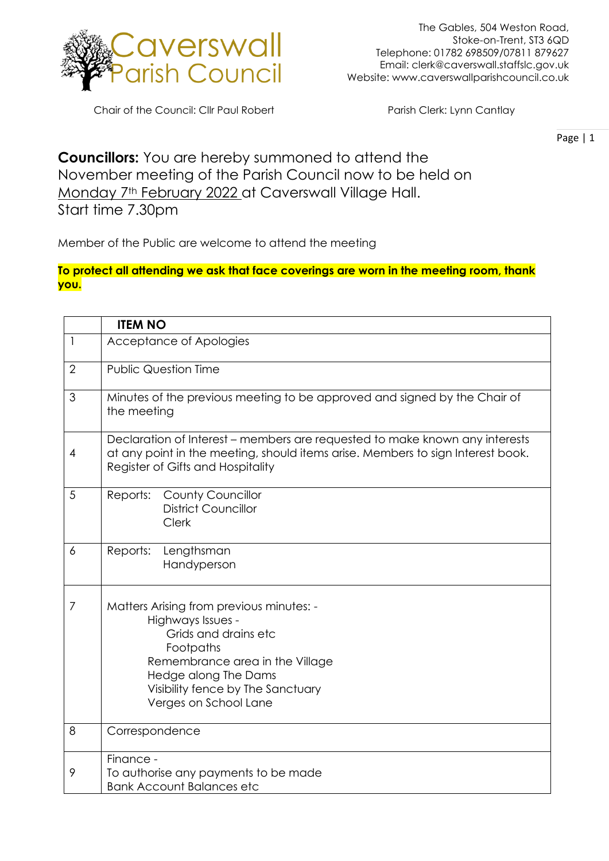

Chair of the Council: Cllr Paul Robert Parish Clerk: Lynn Cantlay

Page | 1

## **Councillors:** You are hereby summoned to attend the November meeting of the Parish Council now to be held on Monday 7<sup>th</sup> February 2022 at Caverswall Village Hall.

Start time 7.30pm

Member of the Public are welcome to attend the meeting

## **To protect all attending we ask that face coverings are worn in the meeting room, thank you.**

|              | <b>ITEM NO</b>                                                                                                                                                                                                              |
|--------------|-----------------------------------------------------------------------------------------------------------------------------------------------------------------------------------------------------------------------------|
| $\mathbf{I}$ | Acceptance of Apologies                                                                                                                                                                                                     |
| 2            | <b>Public Question Time</b>                                                                                                                                                                                                 |
| 3            | Minutes of the previous meeting to be approved and signed by the Chair of<br>the meeting                                                                                                                                    |
| 4            | Declaration of Interest – members are requested to make known any interests<br>at any point in the meeting, should items arise. Members to sign Interest book.<br>Register of Gifts and Hospitality                         |
| 5            | <b>County Councillor</b><br>Reports:<br><b>District Councillor</b><br>Clerk                                                                                                                                                 |
| 6            | Lengthsman<br>Reports:<br>Handyperson                                                                                                                                                                                       |
| 7            | Matters Arising from previous minutes: -<br>Highways Issues -<br>Grids and drains etc<br>Footpaths<br>Remembrance area in the Village<br>Hedge along The Dams<br>Visibility fence by The Sanctuary<br>Verges on School Lane |
| 8            | Correspondence                                                                                                                                                                                                              |
| 9            | Finance -<br>To authorise any payments to be made<br><b>Bank Account Balances etc</b>                                                                                                                                       |